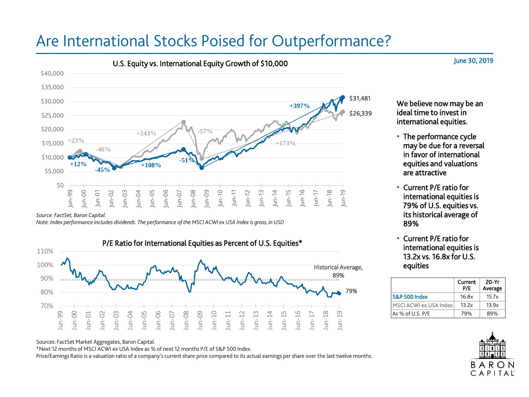# Are International Stocks Poised for Outperformance?



*Source: FactSet, Baron Capital.*

*Note: Index performance includes dividends. The performance of the MSCI ACWI ex USA Index is gross, in USD*



We believe now may be an ideal time to invest in international equities.

June 30, 2019

- The performance cycle may be due for a reversal in favor of international equities and valuations are attractive
- Current P/E ratio for international equities is 79% of U.S. equities vs. its historical average of 89%
- Current P/E ratio for international equities is 13.2x vs. 16.8x for U.S. equities

|                        | Current<br>P/F | 20-Yr<br>Average |
|------------------------|----------------|------------------|
| S&P 500 Index          | 16 Rx          | 15.7x            |
| MSCI ACWI ex USA Index | 13.2x          | 13.9x            |
| As % of U.S. P/E       | 79%            | 89%              |



Sources: FactSet Market Aggregates, Baron Capital.

\*Next 12 months of MSCI ACWI ex USA Index as % of next 12 months P/E of S&P 500 Index.

Price/Earnings Ratio is a valuation ratio of a company's current share price compared to its actual earnings per share over the last twelve months.